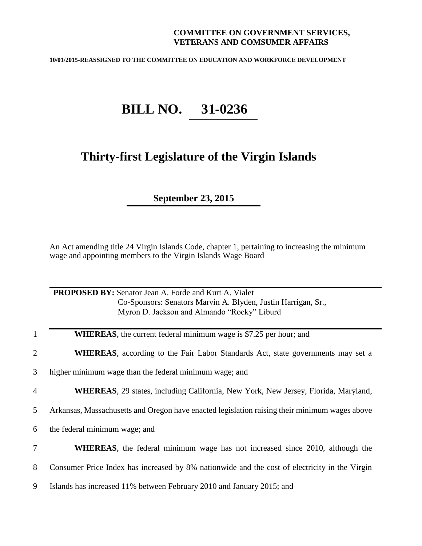## **COMMITTEE ON GOVERNMENT SERVICES, VETERANS AND COMSUMER AFFAIRS**

**10/01/2015-REASSIGNED TO THE COMMITTEE ON EDUCATION AND WORKFORCE DEVELOPMENT**

## **BILL NO. 31-0236**

## **Thirty-first Legislature of the Virgin Islands**

**September 23, 2015**

An Act amending title 24 Virgin Islands Code, chapter 1, pertaining to increasing the minimum wage and appointing members to the Virgin Islands Wage Board

|                | <b>PROPOSED BY:</b> Senator Jean A. Forde and Kurt A. Vialet<br>Co-Sponsors: Senators Marvin A. Blyden, Justin Harrigan, Sr.,<br>Myron D. Jackson and Almando "Rocky" Liburd |
|----------------|------------------------------------------------------------------------------------------------------------------------------------------------------------------------------|
| 1              | <b>WHEREAS</b> , the current federal minimum wage is \$7.25 per hour; and                                                                                                    |
| $\overline{2}$ | <b>WHEREAS</b> , according to the Fair Labor Standards Act, state governments may set a                                                                                      |
| 3              | higher minimum wage than the federal minimum wage; and                                                                                                                       |
| 4              | <b>WHEREAS</b> , 29 states, including California, New York, New Jersey, Florida, Maryland,                                                                                   |
| 5              | Arkansas, Massachusetts and Oregon have enacted legislation raising their minimum wages above                                                                                |
| 6              | the federal minimum wage; and                                                                                                                                                |
| 7              | WHEREAS, the federal minimum wage has not increased since 2010, although the                                                                                                 |
| 8              | Consumer Price Index has increased by 8% nationwide and the cost of electricity in the Virgin                                                                                |
| 9              | Islands has increased 11% between February 2010 and January 2015; and                                                                                                        |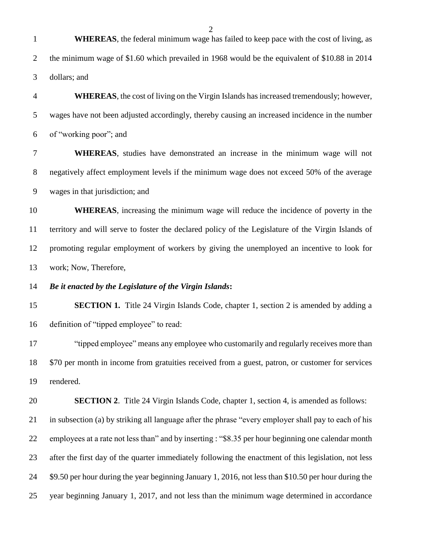| $\mathbf{1}$   | <b>WHEREAS</b> , the federal minimum wage has failed to keep pace with the cost of living, as        |
|----------------|------------------------------------------------------------------------------------------------------|
| $\overline{2}$ | the minimum wage of \$1.60 which prevailed in 1968 would be the equivalent of \$10.88 in 2014        |
| 3              | dollars; and                                                                                         |
| $\overline{4}$ | <b>WHEREAS</b> , the cost of living on the Virgin Islands has increased tremendously; however,       |
| 5              | wages have not been adjusted accordingly, thereby causing an increased incidence in the number       |
| 6              | of "working poor"; and                                                                               |
| $\tau$         | WHEREAS, studies have demonstrated an increase in the minimum wage will not                          |
| $8\phantom{.}$ | negatively affect employment levels if the minimum wage does not exceed 50% of the average           |
| $\mathbf{9}$   | wages in that jurisdiction; and                                                                      |
| 10             | <b>WHEREAS</b> , increasing the minimum wage will reduce the incidence of poverty in the             |
| 11             | territory and will serve to foster the declared policy of the Legislature of the Virgin Islands of   |
| 12             | promoting regular employment of workers by giving the unemployed an incentive to look for            |
| 13             | work; Now, Therefore,                                                                                |
| 14             | Be it enacted by the Legislature of the Virgin Islands:                                              |
| 15             | <b>SECTION 1.</b> Title 24 Virgin Islands Code, chapter 1, section 2 is amended by adding a          |
| 16             | definition of "tipped employee" to read:                                                             |
| 17             | "tipped employee" means any employee who customarily and regularly receives more than                |
| 18             | \$70 per month in income from gratuities received from a guest, patron, or customer for services     |
| 19             | rendered.                                                                                            |
| 20             | <b>SECTION 2.</b> Title 24 Virgin Islands Code, chapter 1, section 4, is amended as follows:         |
| 21             | in subsection (a) by striking all language after the phrase "every employer shall pay to each of his |
| 22             | employees at a rate not less than" and by inserting : "\$8.35 per hour beginning one calendar month  |
| 23             | after the first day of the quarter immediately following the enactment of this legislation, not less |
| 24             | \$9.50 per hour during the year beginning January 1, 2016, not less than \$10.50 per hour during the |
| 25             | year beginning January 1, 2017, and not less than the minimum wage determined in accordance          |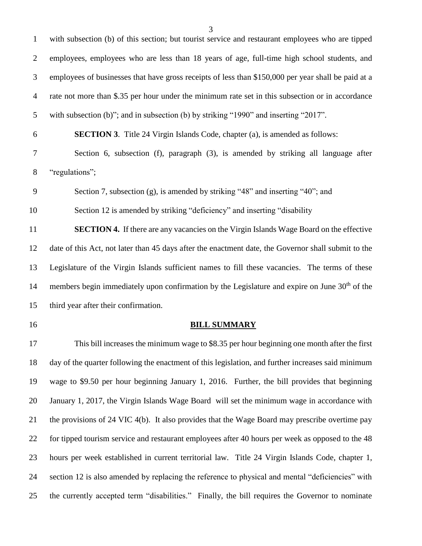| $\mathbf{1}$   | with subsection (b) of this section; but tourist service and restaurant employees who are tipped          |
|----------------|-----------------------------------------------------------------------------------------------------------|
| $\overline{2}$ | employees, employees who are less than 18 years of age, full-time high school students, and               |
| 3              | employees of businesses that have gross receipts of less than \$150,000 per year shall be paid at a       |
| $\overline{4}$ | rate not more than \$.35 per hour under the minimum rate set in this subsection or in accordance          |
| 5              | with subsection (b)"; and in subsection (b) by striking "1990" and inserting "2017".                      |
| 6              | <b>SECTION 3.</b> Title 24 Virgin Islands Code, chapter (a), is amended as follows:                       |
| $\tau$         | Section 6, subsection (f), paragraph (3), is amended by striking all language after                       |
| $8\,$          | "regulations";                                                                                            |
| 9              | Section 7, subsection (g), is amended by striking "48" and inserting "40"; and                            |
| 10             | Section 12 is amended by striking "deficiency" and inserting "disability                                  |
| 11             | SECTION 4. If there are any vacancies on the Virgin Islands Wage Board on the effective                   |
| 12             | date of this Act, not later than 45 days after the enactment date, the Governor shall submit to the       |
| 13             | Legislature of the Virgin Islands sufficient names to fill these vacancies. The terms of these            |
| 14             | members begin immediately upon confirmation by the Legislature and expire on June 30 <sup>th</sup> of the |
| 15             | third year after their confirmation.                                                                      |
| 16             | <b>BILL SUMMARY</b>                                                                                       |
| 17             | This bill increases the minimum wage to \$8.35 per hour beginning one month after the first               |
| 18             | day of the quarter following the enactment of this legislation, and further increases said minimum        |

 day of the quarter following the enactment of this legislation, and further increases said minimum wage to \$9.50 per hour beginning January 1, 2016. Further, the bill provides that beginning January 1, 2017, the Virgin Islands Wage Board will set the minimum wage in accordance with the provisions of 24 VIC 4(b). It also provides that the Wage Board may prescribe overtime pay for tipped tourism service and restaurant employees after 40 hours per week as opposed to the 48 hours per week established in current territorial law. Title 24 Virgin Islands Code, chapter 1, section 12 is also amended by replacing the reference to physical and mental "deficiencies" with the currently accepted term "disabilities." Finally, the bill requires the Governor to nominate